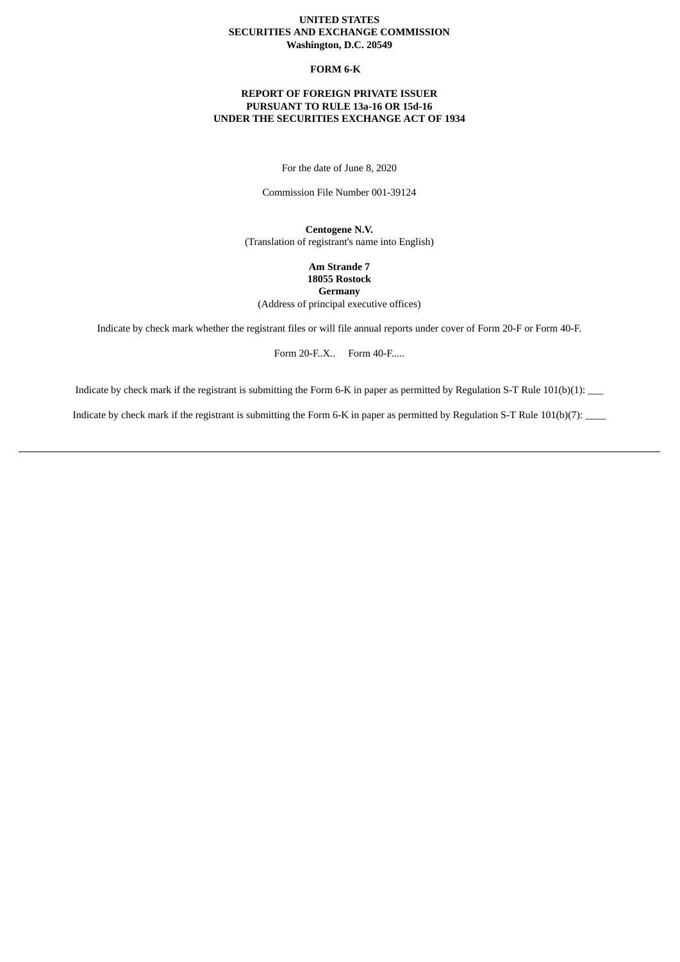#### **UNITED STATES SECURITIES AND EXCHANGE COMMISSION Washington, D.C. 20549**

#### **FORM 6-K**

### **REPORT OF FOREIGN PRIVATE ISSUER PURSUANT TO RULE 13a-16 OR 15d-16 UNDER THE SECURITIES EXCHANGE ACT OF 1934**

For the date of June 8, 2020

Commission File Number 001-39124

**Centogene N.V.** (Translation of registrant's name into English)

> **Am Strande 7 18055 Rostock Germany**

(Address of principal executive offices)

Indicate by check mark whether the registrant files or will file annual reports under cover of Form 20-F or Form 40-F.

Form 20-F..X.. Form 40-F.....

Indicate by check mark if the registrant is submitting the Form 6-K in paper as permitted by Regulation S-T Rule 101(b)(1): \_\_\_

Indicate by check mark if the registrant is submitting the Form 6-K in paper as permitted by Regulation S-T Rule 101(b)(7): \_\_\_\_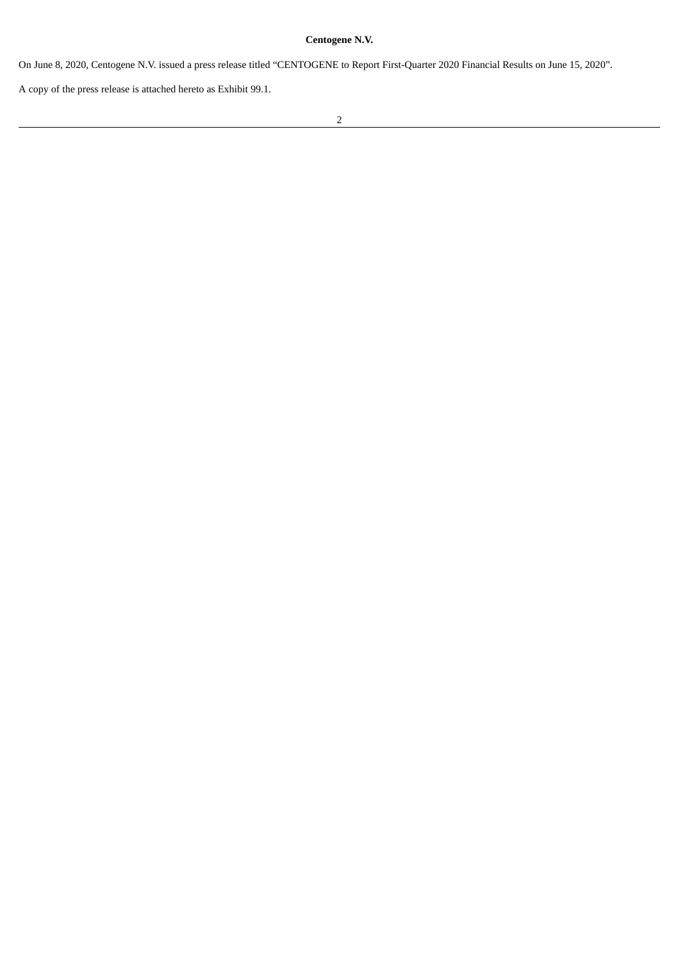# **Centogene N.V.**

On June 8, 2020, Centogene N.V. issued a press release titled "CENTOGENE to Report First-Quarter 2020 Financial Results on June 15, 2020".

A copy of the press release is attached hereto as Exhibit 99.1.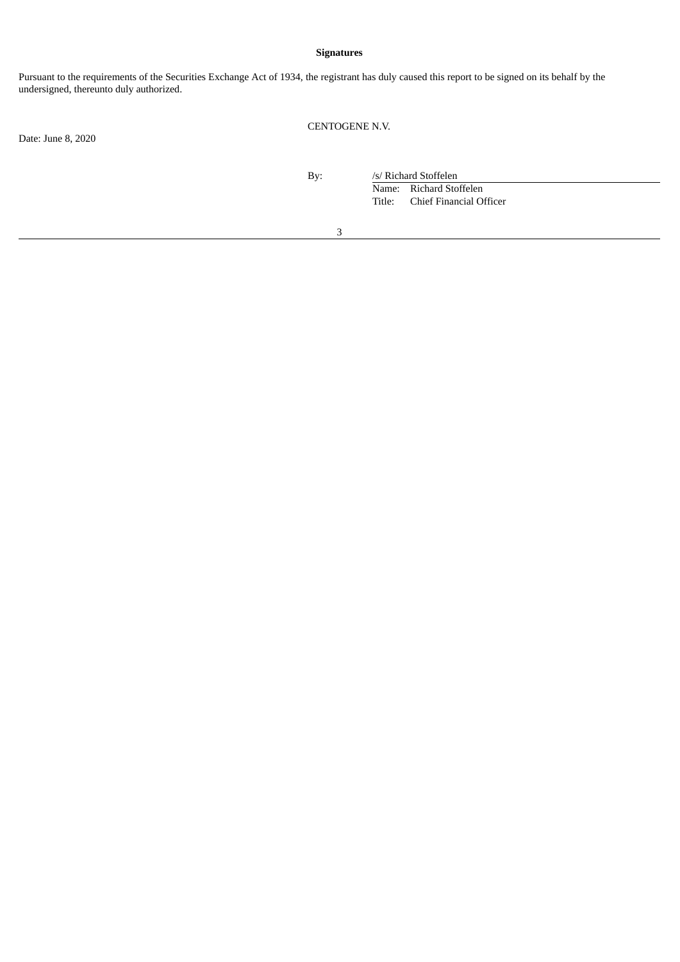## **Signatures**

Pursuant to the requirements of the Securities Exchange Act of 1934, the registrant has duly caused this report to be signed on its behalf by the undersigned, thereunto duly authorized.

| Date: June 8, 2020 | CENTOGENE N.V. |                                                                                              |
|--------------------|----------------|----------------------------------------------------------------------------------------------|
|                    | By:            | /s/ Richard Stoffelen<br>Name: Richard Stoffelen<br><b>Chief Financial Officer</b><br>Title: |
|                    | 3              |                                                                                              |
|                    |                |                                                                                              |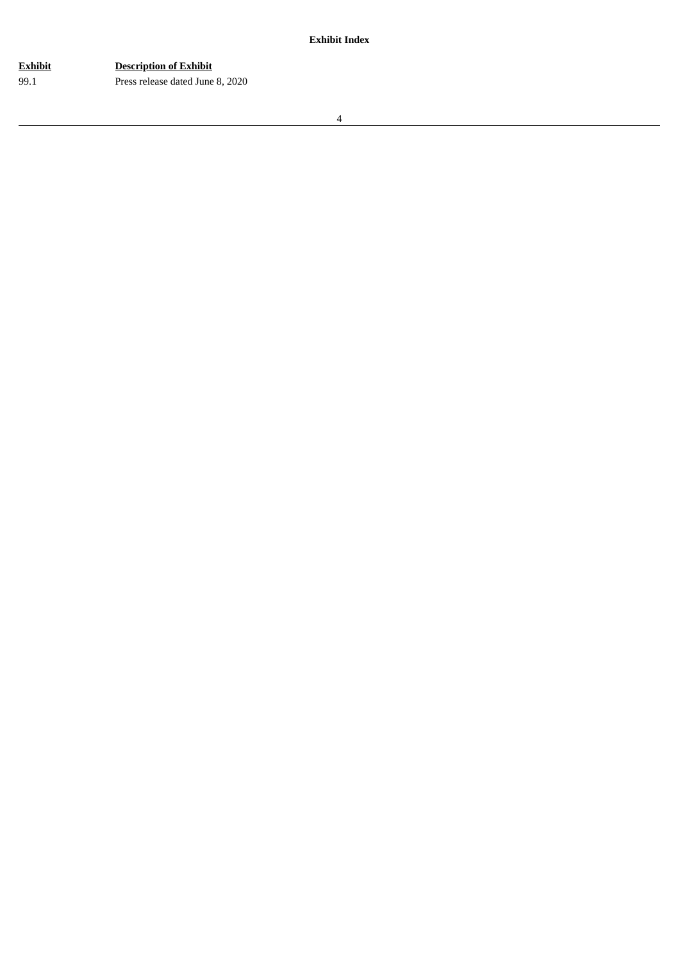**Exhibit Index**

**Exhibit Description of Exhibit** 99.1 Press release dated June 8, 2020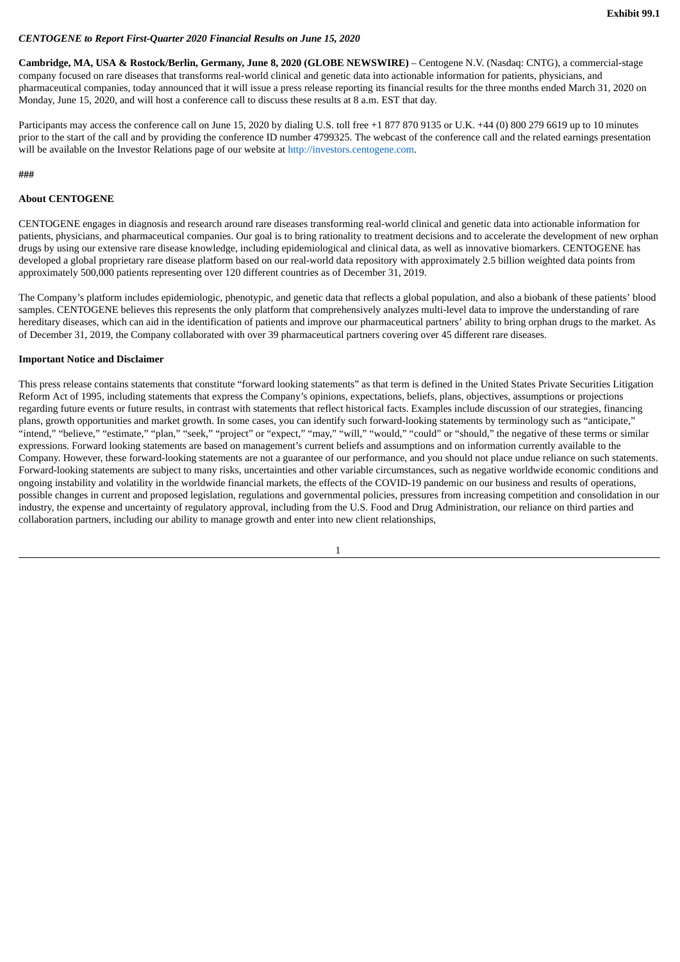#### *CENTOGENE to Report First-Quarter 2020 Financial Results on June 15, 2020*

**Cambridge, MA, USA & Rostock/Berlin, Germany, June 8, 2020 (GLOBE NEWSWIRE)** – Centogene N.V. (Nasdaq: CNTG), a commercial-stage company focused on rare diseases that transforms real-world clinical and genetic data into actionable information for patients, physicians, and pharmaceutical companies, today announced that it will issue a press release reporting its financial results for the three months ended March 31, 2020 on Monday, June 15, 2020, and will host a conference call to discuss these results at 8 a.m. EST that day.

Participants may access the conference call on June 15, 2020 by dialing U.S. toll free +1 877 870 9135 or U.K. +44 (0) 800 279 6619 up to 10 minutes prior to the start of the call and by providing the conference ID number 4799325. The webcast of the conference call and the related earnings presentation will be available on the Investor Relations page of our website at http://investors.centogene.com.

**###**

#### **About CENTOGENE**

CENTOGENE engages in diagnosis and research around rare diseases transforming real-world clinical and genetic data into actionable information for patients, physicians, and pharmaceutical companies. Our goal is to bring rationality to treatment decisions and to accelerate the development of new orphan drugs by using our extensive rare disease knowledge, including epidemiological and clinical data, as well as innovative biomarkers. CENTOGENE has developed a global proprietary rare disease platform based on our real-world data repository with approximately 2.5 billion weighted data points from approximately 500,000 patients representing over 120 different countries as of December 31, 2019.

The Company's platform includes epidemiologic, phenotypic, and genetic data that reflects a global population, and also a biobank of these patients' blood samples. CENTOGENE believes this represents the only platform that comprehensively analyzes multi-level data to improve the understanding of rare hereditary diseases, which can aid in the identification of patients and improve our pharmaceutical partners' ability to bring orphan drugs to the market. As of December 31, 2019, the Company collaborated with over 39 pharmaceutical partners covering over 45 different rare diseases.

#### **Important Notice and Disclaimer**

This press release contains statements that constitute "forward looking statements" as that term is defined in the United States Private Securities Litigation Reform Act of 1995, including statements that express the Company's opinions, expectations, beliefs, plans, objectives, assumptions or projections regarding future events or future results, in contrast with statements that reflect historical facts. Examples include discussion of our strategies, financing plans, growth opportunities and market growth. In some cases, you can identify such forward-looking statements by terminology such as "anticipate," "intend," "believe," "estimate," "plan," "seek," "project" or "expect," "may," "will," "would," "could" or "should," the negative of these terms or similar expressions. Forward looking statements are based on management's current beliefs and assumptions and on information currently available to the Company. However, these forward-looking statements are not a guarantee of our performance, and you should not place undue reliance on such statements. Forward-looking statements are subject to many risks, uncertainties and other variable circumstances, such as negative worldwide economic conditions and ongoing instability and volatility in the worldwide financial markets, the effects of the COVID-19 pandemic on our business and results of operations, possible changes in current and proposed legislation, regulations and governmental policies, pressures from increasing competition and consolidation in our industry, the expense and uncertainty of regulatory approval, including from the U.S. Food and Drug Administration, our reliance on third parties and collaboration partners, including our ability to manage growth and enter into new client relationships,

1